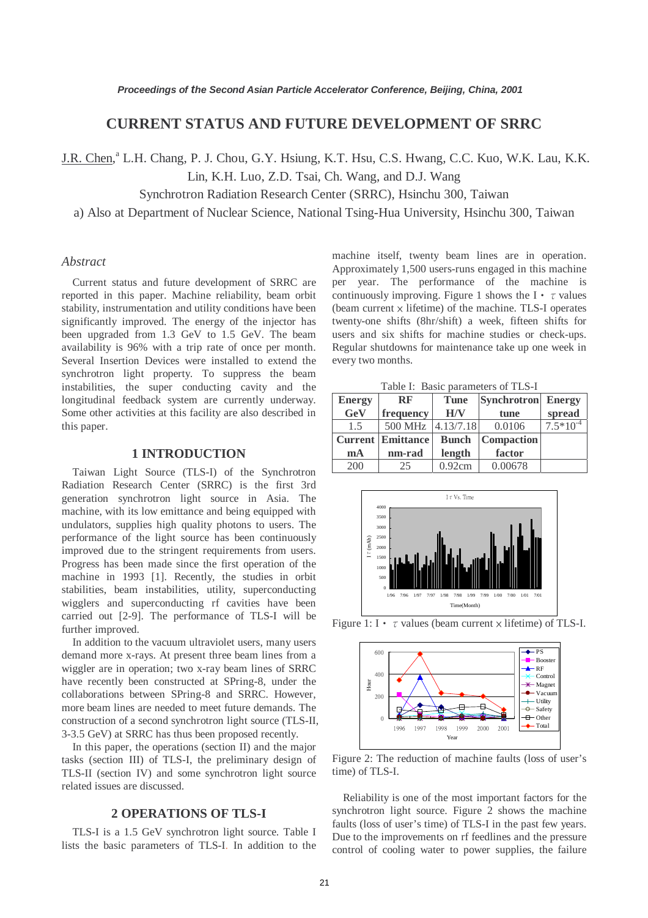# **CURRENT STATUS AND FUTURE DEVELOPMENT OF SRRC**

J.R. Chen,<sup>a</sup> L.H. Chang, P. J. Chou, G.Y. Hsiung, K.T. Hsu, C.S. Hwang, C.C. Kuo, W.K. Lau, K.K.

Lin, K.H. Luo, Z.D. Tsai, Ch. Wang, and D.J. Wang

Synchrotron Radiation Research Center (SRRC), Hsinchu 300, Taiwan

a) Also at Department of Nuclear Science, National Tsing-Hua University, Hsinchu 300, Taiwan

# *Abstract*

Current status and future development of SRRC are reported in this paper. Machine reliability, beam orbit stability, instrumentation and utility conditions have been significantly improved. The energy of the injector has been upgraded from 1.3 GeV to 1.5 GeV. The beam availability is 96% with a trip rate of once per month. Several Insertion Devices were installed to extend the synchrotron light property. To suppress the beam instabilities, the super conducting cavity and the longitudinal feedback system are currently underway. Some other activities at this facility are also described in this paper.

# **1 INTRODUCTION**

Taiwan Light Source (TLS-I) of the Synchrotron Radiation Research Center (SRRC) is the first 3rd generation synchrotron light source in Asia. The machine, with its low emittance and being equipped with undulators, supplies high quality photons to users. The performance of the light source has been continuously improved due to the stringent requirements from users. Progress has been made since the first operation of the machine in 1993 [1]. Recently, the studies in orbit stabilities, beam instabilities, utility, superconducting wigglers and superconducting rf cavities have been carried out [2-9]. The performance of TLS-I will be further improved.

In addition to the vacuum ultraviolet users, many users demand more x-rays. At present three beam lines from a wiggler are in operation; two x-ray beam lines of SRRC have recently been constructed at SPring-8, under the collaborations between SPring-8 and SRRC. However, more beam lines are needed to meet future demands. The construction of a second synchrotron light source (TLS-II, 3-3.5 GeV) at SRRC has thus been proposed recently.

In this paper, the operations (section II) and the major tasks (section III) of TLS-I, the preliminary design of TLS-II (section IV) and some synchrotron light source related issues are discussed.

# **2 OPERATIONS OF TLS-I**

TLS-I is a 1.5 GeV synchrotron light source. Table I lists the basic parameters of TLS-I. In addition to the

machine itself, twenty beam lines are in operation. Approximately 1,500 users-runs engaged in this machine per year. The performance of the machine is continuously improving. Figure 1 shows the I  $\cdot \tau$  values (beam current  $\times$  lifetime) of the machine. TLS-I operates twenty-one shifts (8hr/shift) a week, fifteen shifts for users and six shifts for machine studies or check-ups. Regular shutdowns for maintenance take up one week in every two months.

Table I: Basic parameters of TLS-I

| <b>Energy</b>  | <b>RF</b>                | Synchrotron Energy<br><b>Tune</b> |                   |               |
|----------------|--------------------------|-----------------------------------|-------------------|---------------|
| GeV            | frequency                | H/V                               | tune              | spread        |
| 1.5            | 500 MHz                  | 4.13/7.18                         | 0.0106            | $7.5*10^{-4}$ |
|                | <b>Current Emittance</b> | <b>Bunch</b>                      | <b>Compaction</b> |               |
| m <sub>A</sub> | nm-rad                   | length                            | factor            |               |
| 200            | 25                       | 0.92cm                            | 0.00678           |               |







Figure 2: The reduction of machine faults (loss of user's time) of TLS-I.

Reliability is one of the most important factors for the synchrotron light source. Figure 2 shows the machine faults (loss of user's time) of TLS-I in the past few years. Due to the improvements on rf feedlines and the pressure control of cooling water to power supplies, the failure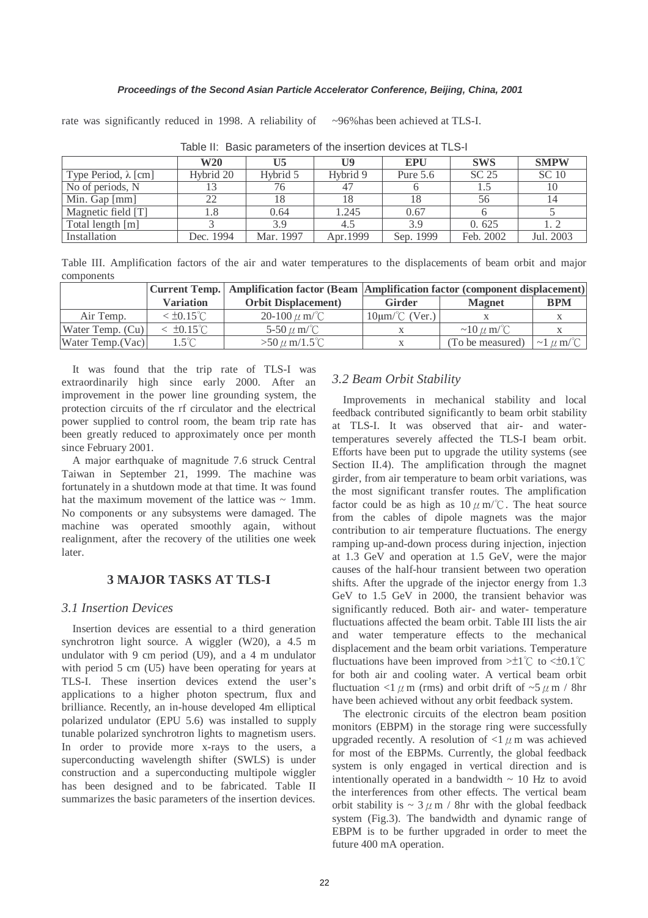rate was significantly reduced in 1998. A reliability of  $\sim$ 96% has been achieved at TLS-I.

|                             | <b>W20</b> | U5        | $\mathbf{U}$ | <b>EPU</b> | <b>SWS</b> | <b>SMPW</b>  |
|-----------------------------|------------|-----------|--------------|------------|------------|--------------|
| Type Period, $\lambda$ [cm] | Hybrid 20  | Hybrid 5  | Hybrid 9     | Pure $5.6$ | SC 25      | <b>SC 10</b> |
| No of periods, N            |            | 76        | -47          |            | 1.5        | 10           |
| Min. Gap $\lceil mm \rceil$ | 22         |           | 18           | 18         | 56         | 14           |
| Magnetic field [T]          |            | 0.64      | 1.245        | 0.67       |            |              |
| Total length [m]            |            | 3.9       | 4.5          | 3.9        | 0.625      | 1. 2         |
| Installation                | Dec. 1994  | Mar. 1997 | Apr. 1999    | Sep. 1999  | Feb. 2002  | Jul. 2003    |

Table II: Basic parameters of the insertion devices at TLS-I

Table III. Amplification factors of the air and water temperatures to the displacements of beam orbit and major components

|                    |                        |                             | Current Temp.   Amplification factor (Beam   Amplification factor (component displacement) |                      |                     |
|--------------------|------------------------|-----------------------------|--------------------------------------------------------------------------------------------|----------------------|---------------------|
|                    | <b>Variation</b>       | <b>Orbit Displacement</b> ) | <b>Girder</b>                                                                              | <b>Magnet</b>        | <b>BPM</b>          |
| Air Temp.          | $<$ ±0.15 $^{\circ}$ C | 20-100 $\mu$ m/°C           | $10 \mu m$ (Ver.)                                                                          |                      |                     |
| Water Temp. $(Cu)$ | $<$ ±0.15 $^{\circ}$ C | 5-50 $\mu$ m/°C             |                                                                                            | $\sim$ 10 $\mu$ m/°C |                     |
| Water Temp. (Vac)  | $1.5^{\circ}$ C        | $>50 \mu$ m/1.5°C           |                                                                                            | (To be measured)     | $\sim$ 1 $\mu$ m/°C |

It was found that the trip rate of TLS-I was extraordinarily high since early 2000. After an improvement in the power line grounding system, the protection circuits of the rf circulator and the electrical power supplied to control room, the beam trip rate has been greatly reduced to approximately once per month since February 2001.

A major earthquake of magnitude 7.6 struck Central Taiwan in September 21, 1999. The machine was fortunately in a shutdown mode at that time. It was found hat the maximum movement of the lattice was  $\sim$  1mm. No components or any subsystems were damaged. The machine was operated smoothly again, without realignment, after the recovery of the utilities one week later.

# **3 MAJOR TASKS AT TLS-I**

# *3.1 Insertion Devices*

Insertion devices are essential to a third generation synchrotron light source. A wiggler (W20), a 4.5 m undulator with 9 cm period (U9), and a 4 m undulator with period 5 cm (U5) have been operating for years at TLS-I. These insertion devices extend the user's applications to a higher photon spectrum, flux and brilliance. Recently, an in-house developed 4m elliptical polarized undulator (EPU 5.6) was installed to supply tunable polarized synchrotron lights to magnetism users. In order to provide more x-rays to the users, a superconducting wavelength shifter (SWLS) is under construction and a superconducting multipole wiggler has been designed and to be fabricated. Table II summarizes the basic parameters of the insertion devices.

# *3.2 Beam Orbit Stability*

Improvements in mechanical stability and local feedback contributed significantly to beam orbit stability at TLS-I. It was observed that air- and watertemperatures severely affected the TLS-I beam orbit. Efforts have been put to upgrade the utility systems (see Section II.4). The amplification through the magnet girder, from air temperature to beam orbit variations, was the most significant transfer routes. The amplification factor could be as high as  $10 \mu$  m/°C. The heat source from the cables of dipole magnets was the major contribution to air temperature fluctuations. The energy ramping up-and-down process during injection, injection at 1.3 GeV and operation at 1.5 GeV, were the major causes of the half-hour transient between two operation shifts. After the upgrade of the injector energy from 1.3 GeV to 1.5 GeV in 2000, the transient behavior was significantly reduced. Both air- and water- temperature fluctuations affected the beam orbit. Table III lists the air and water temperature effects to the mechanical displacement and the beam orbit variations. Temperature fluctuations have been improved from  $>±1^{\circ}$  to  $<±0.1^{\circ}$ for both air and cooling water. A vertical beam orbit fluctuation <1  $\mu$  m (rms) and orbit drift of ~5  $\mu$  m / 8hr have been achieved without any orbit feedback system.

The electronic circuits of the electron beam position monitors (EBPM) in the storage ring were successfully upgraded recently. A resolution of  $\langle 1 \mu \text{m} \rangle$  was achieved for most of the EBPMs. Currently, the global feedback system is only engaged in vertical direction and is intentionally operated in a bandwidth  $\sim$  10 Hz to avoid the interferences from other effects. The vertical beam orbit stability is  $\sim 3 \mu$  m / 8hr with the global feedback system (Fig.3). The bandwidth and dynamic range of EBPM is to be further upgraded in order to meet the future 400 mA operation.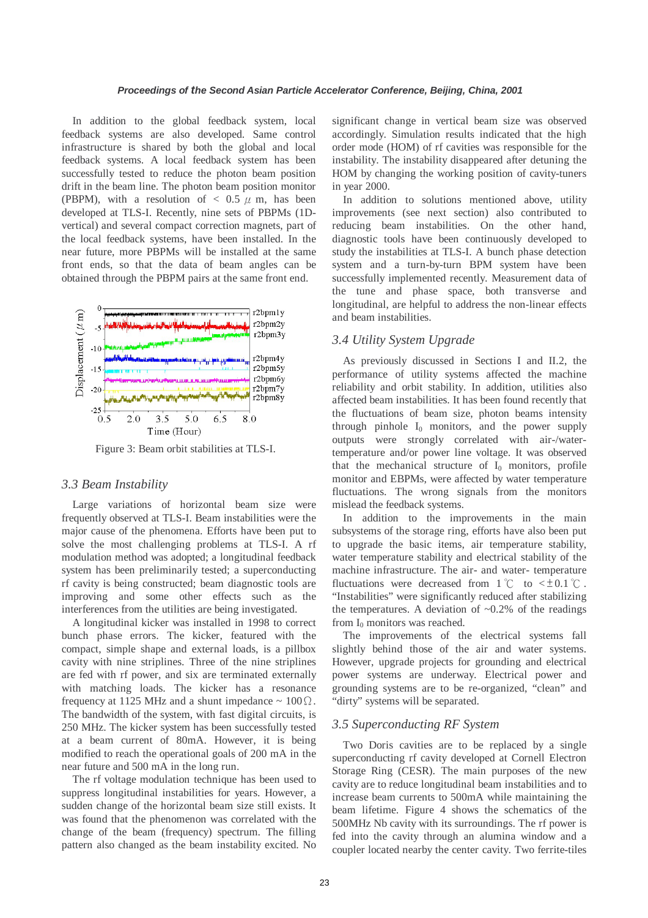In addition to the global feedback system, local feedback systems are also developed. Same control infrastructure is shared by both the global and local feedback systems. A local feedback system has been successfully tested to reduce the photon beam position drift in the beam line. The photon beam position monitor (PBPM), with a resolution of  $< 0.5 \mu$  m, has been developed at TLS-I. Recently, nine sets of PBPMs (1Dvertical) and several compact correction magnets, part of the local feedback systems, have been installed. In the near future, more PBPMs will be installed at the same front ends, so that the data of beam angles can be obtained through the PBPM pairs at the same front end.



Figure 3: Beam orbit stabilities at TLS-I.

#### *3.3 Beam Instability*

Large variations of horizontal beam size were frequently observed at TLS-I. Beam instabilities were the major cause of the phenomena. Efforts have been put to solve the most challenging problems at TLS-I. A rf modulation method was adopted; a longitudinal feedback system has been preliminarily tested; a superconducting rf cavity is being constructed; beam diagnostic tools are improving and some other effects such as the interferences from the utilities are being investigated.

A longitudinal kicker was installed in 1998 to correct bunch phase errors. The kicker, featured with the compact, simple shape and external loads, is a pillbox cavity with nine striplines. Three of the nine striplines are fed with rf power, and six are terminated externally with matching loads. The kicker has a resonance frequency at 1125 MHz and a shunt impedance  $\sim 100 \Omega$ . The bandwidth of the system, with fast digital circuits, is 250 MHz. The kicker system has been successfully tested at a beam current of 80mA. However, it is being modified to reach the operational goals of 200 mA in the near future and 500 mA in the long run.

The rf voltage modulation technique has been used to suppress longitudinal instabilities for years. However, a sudden change of the horizontal beam size still exists. It was found that the phenomenon was correlated with the change of the beam (frequency) spectrum. The filling pattern also changed as the beam instability excited. No significant change in vertical beam size was observed accordingly. Simulation results indicated that the high order mode (HOM) of rf cavities was responsible for the instability. The instability disappeared after detuning the HOM by changing the working position of cavity-tuners in year 2000.

In addition to solutions mentioned above, utility improvements (see next section) also contributed to reducing beam instabilities. On the other hand, diagnostic tools have been continuously developed to study the instabilities at TLS-I. A bunch phase detection system and a turn-by-turn BPM system have been successfully implemented recently. Measurement data of the tune and phase space, both transverse and longitudinal, are helpful to address the non-linear effects and beam instabilities.

# *3.4 Utility System Upgrade*

As previously discussed in Sections I and II.2, the performance of utility systems affected the machine reliability and orbit stability. In addition, utilities also affected beam instabilities. It has been found recently that the fluctuations of beam size, photon beams intensity through pinhole  $I_0$  monitors, and the power supply outputs were strongly correlated with air-/watertemperature and/or power line voltage. It was observed that the mechanical structure of  $I_0$  monitors, profile monitor and EBPMs, were affected by water temperature fluctuations. The wrong signals from the monitors mislead the feedback systems.

In addition to the improvements in the main subsystems of the storage ring, efforts have also been put to upgrade the basic items, air temperature stability, water temperature stability and electrical stability of the machine infrastructure. The air- and water- temperature fluctuations were decreased from  $1 \degree C$  to  $\lt \pm 0.1 \degree C$ . "Instabilities" were significantly reduced after stabilizing the temperatures. A deviation of  $\sim 0.2\%$  of the readings from I<sub>0</sub> monitors was reached.

The improvements of the electrical systems fall slightly behind those of the air and water systems. However, upgrade projects for grounding and electrical power systems are underway. Electrical power and grounding systems are to be re-organized, "clean" and "dirty" systems will be separated.

# *3.5 Superconducting RF System*

Two Doris cavities are to be replaced by a single superconducting rf cavity developed at Cornell Electron Storage Ring (CESR). The main purposes of the new cavity are to reduce longitudinal beam instabilities and to increase beam currents to 500mA while maintaining the beam lifetime. Figure 4 shows the schematics of the 500MHz Nb cavity with its surroundings. The rf power is fed into the cavity through an alumina window and a coupler located nearby the center cavity. Two ferrite-tiles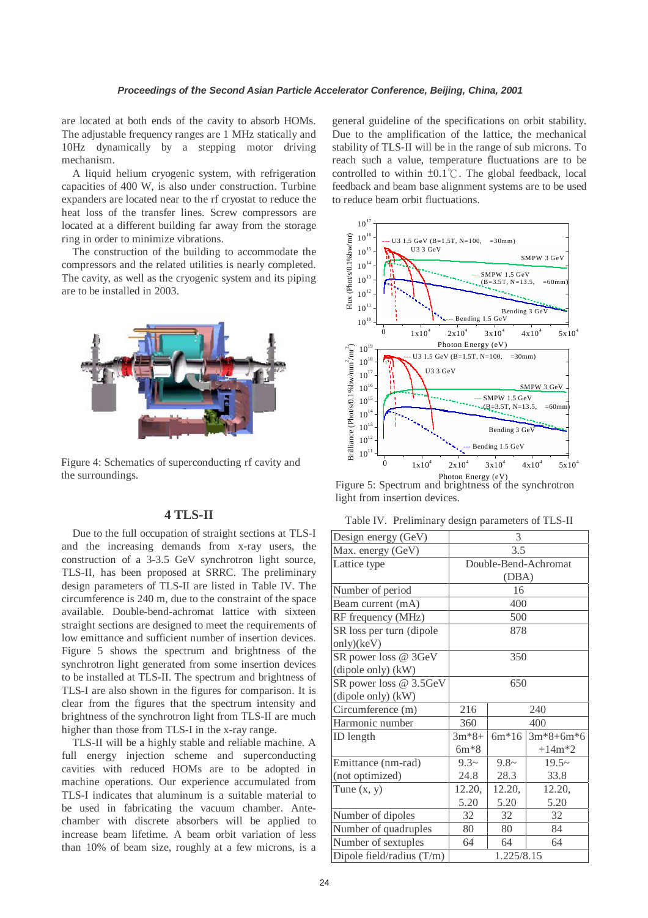are located at both ends of the cavity to absorb HOMs. The adjustable frequency ranges are 1 MHz statically and 10Hz dynamically by a stepping motor driving mechanism.

A liquid helium cryogenic system, with refrigeration capacities of 400 W, is also under construction. Turbine expanders are located near to the rf cryostat to reduce the heat loss of the transfer lines. Screw compressors are located at a different building far away from the storage ring in order to minimize vibrations.

The construction of the building to accommodate the compressors and the related utilities is nearly completed. The cavity, as well as the cryogenic system and its piping are to be installed in 2003.



Figure 4: Schematics of superconducting rf cavity and the surroundings.

# **4 TLS-II**

Due to the full occupation of straight sections at TLS-I and the increasing demands from x-ray users, the construction of a 3-3.5 GeV synchrotron light source, TLS-II, has been proposed at SRRC. The preliminary design parameters of TLS-II are listed in Table IV. The circumference is 240 m, due to the constraint of the space available. Double-bend-achromat lattice with sixteen straight sections are designed to meet the requirements of low emittance and sufficient number of insertion devices. Figure 5 shows the spectrum and brightness of the synchrotron light generated from some insertion devices to be installed at TLS-II. The spectrum and brightness of TLS-I are also shown in the figures for comparison. It is clear from the figures that the spectrum intensity and brightness of the synchrotron light from TLS-II are much higher than those from TLS-I in the x-ray range.

TLS-II will be a highly stable and reliable machine. A full energy injection scheme and superconducting cavities with reduced HOMs are to be adopted in machine operations. Our experience accumulated from TLS-I indicates that aluminum is a suitable material to be used in fabricating the vacuum chamber. Antechamber with discrete absorbers will be applied to increase beam lifetime. A beam orbit variation of less than 10% of beam size, roughly at a few microns, is a general guideline of the specifications on orbit stability. Due to the amplification of the lattice, the mechanical stability of TLS-II will be in the range of sub microns. To reach such a value, temperature fluctuations are to be controlled to within ±0.1℃. The global feedback, local feedback and beam base alignment systems are to be used to reduce beam orbit fluctuations.



Figure 5: Spectrum and brightness of the synchrotron light from insertion devices.

Table IV. Preliminary design parameters of TLS-II

| Design energy (GeV)         | 3                    |         |             |  |
|-----------------------------|----------------------|---------|-------------|--|
| Max. energy (GeV)           | 3.5                  |         |             |  |
| Lattice type                | Double-Bend-Achromat |         |             |  |
|                             | (DBA)                |         |             |  |
| Number of period            | 16                   |         |             |  |
| Beam current (mA)           | 400                  |         |             |  |
| RF frequency (MHz)          | 500                  |         |             |  |
| SR loss per turn (dipole    | 878                  |         |             |  |
| only)(keV)                  |                      |         |             |  |
| SR power loss @ 3GeV        | 350                  |         |             |  |
| $(dipole only)$ $(kW)$      |                      |         |             |  |
| SR power loss @ 3.5GeV      | 650                  |         |             |  |
| $(dipole only)$ $(kW)$      |                      |         |             |  |
| Circumference (m)           | 216<br>240           |         |             |  |
| Harmonic number             | 360                  | 400     |             |  |
| ID length                   | $3m*8+$              | $6m*16$ | $3m*8+6m*6$ |  |
|                             | $6m*8$               |         | $+14m*2$    |  |
| Emittance (nm-rad)          | $9.3-$               | $9.8-$  | $19.5-$     |  |
| (not optimized)             | 24.8                 | 28.3    | 33.8        |  |
| Tune $(x, y)$               | 12.20,               | 12.20,  | 12.20,      |  |
|                             | 5.20                 | 5.20    | 5.20        |  |
| Number of dipoles           | 32                   | 32      | 32          |  |
| Number of quadruples        | 80                   | 80      | 84          |  |
| Number of sextuples         | 64                   | 64      | 64          |  |
| Dipole field/radius $(T/m)$ | 1.225/8.15           |         |             |  |